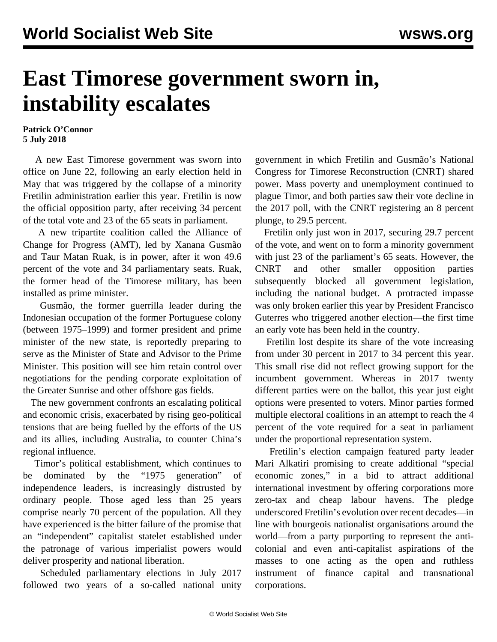## **East Timorese government sworn in, instability escalates**

## **Patrick O'Connor 5 July 2018**

 A new East Timorese government was sworn into office on June 22, following an early election held in May that was triggered by the collapse of a minority Fretilin administration earlier this year. Fretilin is now the official opposition party, after receiving 34 percent of the total vote and 23 of the 65 seats in parliament.

 A new tripartite coalition called the Alliance of Change for Progress (AMT), led by Xanana Gusmão and Taur Matan Ruak, is in power, after it won 49.6 percent of the vote and 34 parliamentary seats. Ruak, the former head of the Timorese military, has been installed as prime minister.

 Gusmão, the former guerrilla leader during the Indonesian occupation of the former Portuguese colony (between 1975–1999) and former president and prime minister of the new state, is reportedly preparing to serve as the Minister of State and Advisor to the Prime Minister. This position will see him retain control over negotiations for the pending corporate exploitation of the Greater Sunrise and other offshore gas fields.

 The new government confronts an escalating political and economic crisis, exacerbated by rising geo-political tensions that are being fuelled by the efforts of the US and its allies, including Australia, to counter China's regional influence.

 Timor's political establishment, which continues to be dominated by the "1975 generation" of independence leaders, is increasingly distrusted by ordinary people. Those aged less than 25 years comprise nearly 70 percent of the population. All they have experienced is the bitter failure of the promise that an "independent" capitalist statelet established under the patronage of various imperialist powers would deliver prosperity and national liberation.

 Scheduled parliamentary elections in July 2017 followed two years of a so-called national unity government in which Fretilin and Gusmão's National Congress for Timorese Reconstruction (CNRT) shared power. Mass poverty and unemployment continued to plague Timor, and both parties saw their vote decline in the 2017 poll, with the CNRT registering an 8 percent plunge, to 29.5 percent.

 Fretilin only just won in 2017, securing 29.7 percent of the vote, and went on to form a minority government with just 23 of the parliament's 65 seats. However, the CNRT and other smaller opposition parties subsequently blocked all government legislation, including the national budget. A protracted impasse was only broken earlier this year by President Francisco Guterres who triggered another election—the first time an early vote has been held in the country.

 Fretilin lost despite its share of the vote increasing from under 30 percent in 2017 to 34 percent this year. This small rise did not reflect growing support for the incumbent government. Whereas in 2017 twenty different parties were on the ballot, this year just eight options were presented to voters. Minor parties formed multiple electoral coalitions in an attempt to reach the 4 percent of the vote required for a seat in parliament under the proportional representation system.

 Fretilin's election campaign featured party leader Mari Alkatiri promising to create additional "special economic zones," in a bid to attract additional international investment by offering corporations more zero-tax and cheap labour havens. The pledge underscored Fretilin's evolution over recent decades—in line with bourgeois nationalist organisations around the world—from a party purporting to represent the anticolonial and even anti-capitalist aspirations of the masses to one acting as the open and ruthless instrument of finance capital and transnational corporations.